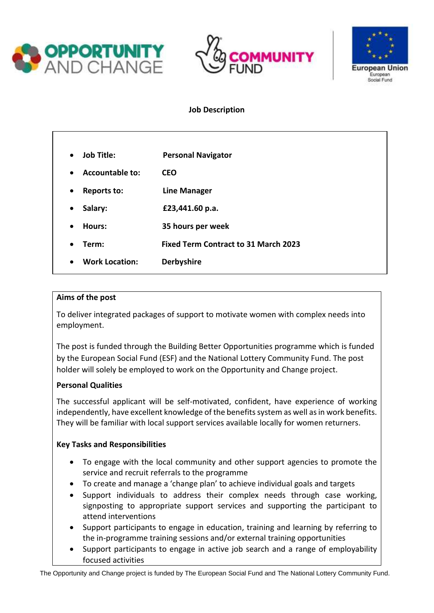





# **Job Description**

| <b>Job Title:</b><br>$\bullet$      | <b>Personal Navigator</b>                   |
|-------------------------------------|---------------------------------------------|
| <b>Accountable to:</b><br>$\bullet$ | <b>CEO</b>                                  |
| Reports to:<br>$\bullet$            | <b>Line Manager</b>                         |
| Salary:<br>$\bullet$                | £23,441.60 p.a.                             |
| Hours:<br>$\bullet$                 | 35 hours per week                           |
| Term:<br>٠                          | <b>Fixed Term Contract to 31 March 2023</b> |
| <b>Work Location:</b><br>$\bullet$  | <b>Derbyshire</b>                           |

#### **Aims of the post**

To deliver integrated packages of support to motivate women with complex needs into employment.

The post is funded through the Building Better Opportunities programme which is funded by the European Social Fund (ESF) and the National Lottery Community Fund. The post holder will solely be employed to work on the Opportunity and Change project.

## **Personal Qualities**

The successful applicant will be self-motivated, confident, have experience of working independently, have excellent knowledge of the benefits system as well as in work benefits. They will be familiar with local support services available locally for women returners.

## **Key Tasks and Responsibilities**

- To engage with the local community and other support agencies to promote the service and recruit referrals to the programme
- To create and manage a 'change plan' to achieve individual goals and targets
- Support individuals to address their complex needs through case working, signposting to appropriate support services and supporting the participant to attend interventions
- Support participants to engage in education, training and learning by referring to the in-programme training sessions and/or external training opportunities
- Support participants to engage in active job search and a range of employability focused activities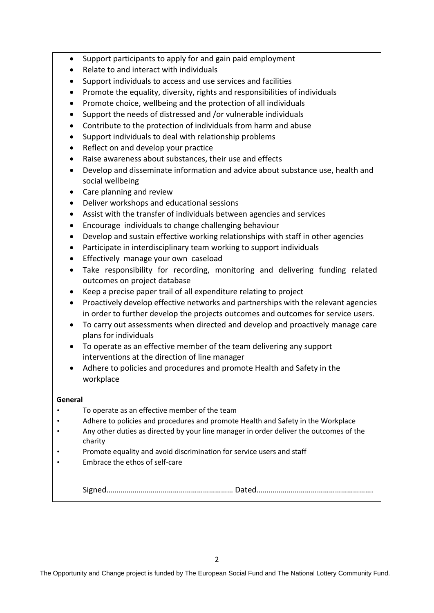- Support participants to apply for and gain paid employment
- Relate to and interact with individuals
- Support individuals to access and use services and facilities
- Promote the equality, diversity, rights and responsibilities of individuals
- Promote choice, wellbeing and the protection of all individuals
- Support the needs of distressed and /or vulnerable individuals
- Contribute to the protection of individuals from harm and abuse
- Support individuals to deal with relationship problems
- Reflect on and develop your practice
- Raise awareness about substances, their use and effects
- Develop and disseminate information and advice about substance use, health and social wellbeing
- Care planning and review
- Deliver workshops and educational sessions
- Assist with the transfer of individuals between agencies and services
- Encourage individuals to change challenging behaviour
- Develop and sustain effective working relationships with staff in other agencies
- Participate in interdisciplinary team working to support individuals
- Effectively manage your own caseload
- Take responsibility for recording, monitoring and delivering funding related outcomes on project database
- Keep a precise paper trail of all expenditure relating to project
- Proactively develop effective networks and partnerships with the relevant agencies in order to further develop the projects outcomes and outcomes for service users.
- To carry out assessments when directed and develop and proactively manage care plans for individuals
- To operate as an effective member of the team delivering any support interventions at the direction of line manager
- Adhere to policies and procedures and promote Health and Safety in the workplace

#### **General**

- To operate as an effective member of the team
- Adhere to policies and procedures and promote Health and Safety in the Workplace
- Any other duties as directed by your line manager in order deliver the outcomes of the charity
- Promote equality and avoid discrimination for service users and staff
- Embrace the ethos of self-care

Signed……………………………………………………… Dated………………………………………………….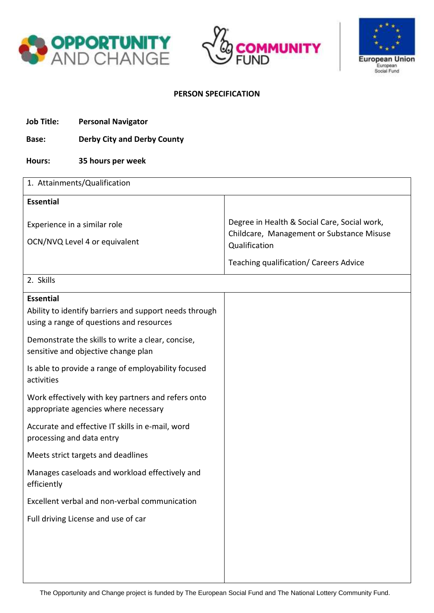





### **PERSON SPECIFICATION**

- **Job Title: Personal Navigator**
- **Base: Derby City and Derby County**
- **Hours: 35 hours per week**

| 1. Attainments/Qualification                                                                                           |                                                                                                            |  |  |
|------------------------------------------------------------------------------------------------------------------------|------------------------------------------------------------------------------------------------------------|--|--|
| <b>Essential</b>                                                                                                       |                                                                                                            |  |  |
| Experience in a similar role<br>OCN/NVQ Level 4 or equivalent                                                          | Degree in Health & Social Care, Social work,<br>Childcare, Management or Substance Misuse<br>Qualification |  |  |
|                                                                                                                        | Teaching qualification/ Careers Advice                                                                     |  |  |
| 2. Skills                                                                                                              |                                                                                                            |  |  |
| <b>Essential</b><br>Ability to identify barriers and support needs through<br>using a range of questions and resources |                                                                                                            |  |  |
| Demonstrate the skills to write a clear, concise,<br>sensitive and objective change plan                               |                                                                                                            |  |  |
| Is able to provide a range of employability focused<br>activities                                                      |                                                                                                            |  |  |
| Work effectively with key partners and refers onto<br>appropriate agencies where necessary                             |                                                                                                            |  |  |
| Accurate and effective IT skills in e-mail, word<br>processing and data entry                                          |                                                                                                            |  |  |
| Meets strict targets and deadlines                                                                                     |                                                                                                            |  |  |
| Manages caseloads and workload effectively and<br>efficiently                                                          |                                                                                                            |  |  |
| Excellent verbal and non-verbal communication                                                                          |                                                                                                            |  |  |
| Full driving License and use of car                                                                                    |                                                                                                            |  |  |
|                                                                                                                        |                                                                                                            |  |  |
|                                                                                                                        |                                                                                                            |  |  |
|                                                                                                                        |                                                                                                            |  |  |